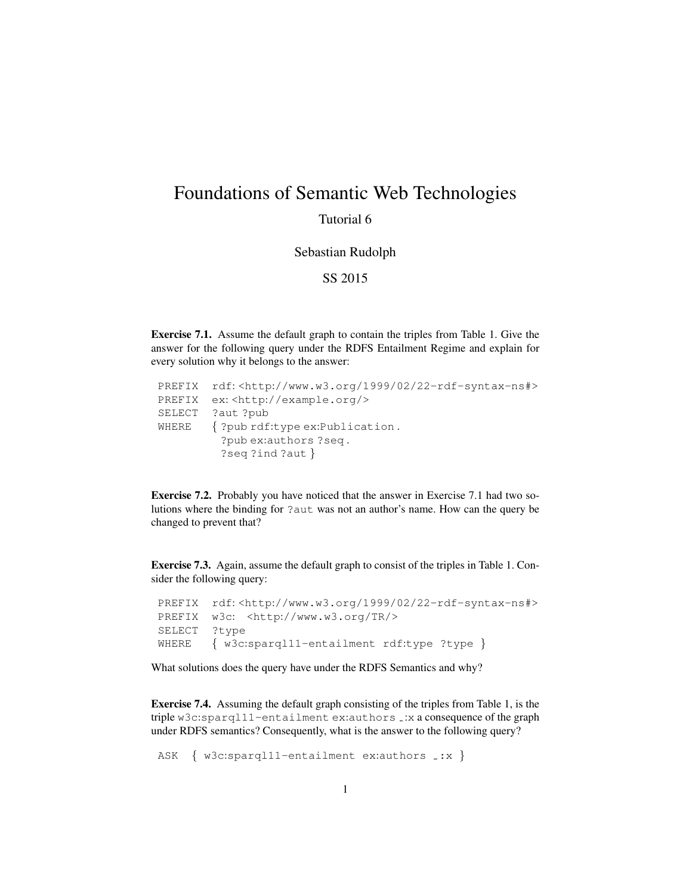## Foundations of Semantic Web Technologies

Tutorial 6

Sebastian Rudolph

SS 2015

Exercise 7.1. Assume the default graph to contain the triples from Table 1. Give the answer for the following query under the RDFS Entailment Regime and explain for every solution why it belongs to the answer:

|        | PREFIX rdf: <http: 02="" 1999="" 22-rdf-syntax-ns#="" www.w3.org=""></http:> |
|--------|------------------------------------------------------------------------------|
| PREFIX | ex: <http: example.org=""></http:>                                           |
|        | SELECT ?aut ?pub                                                             |
| WHERE  | { ?pub rdf:type ex:Publication.                                              |
|        | ?pubex:authors?seq.                                                          |
|        | $?seq ?ind ?aut$ }                                                           |

Exercise 7.2. Probably you have noticed that the answer in Exercise 7.1 had two solutions where the binding for ?aut was not an author's name. How can the query be changed to prevent that?

Exercise 7.3. Again, assume the default graph to consist of the triples in Table 1. Consider the following query:

```
PREFIX rdf: <http://www.w3.org/1999/02/22-rdf-syntax-ns#>
PREFIX w3c: <http://www.w3.org/TR/>
SELECT ?type
WHERE { w3c:sparql11-entailment rdf:type ?type }
```
What solutions does the query have under the RDFS Semantics and why?

Exercise 7.4. Assuming the default graph consisting of the triples from Table 1, is the triple w3c:sparql11-entailment ex:authors .: x a consequence of the graph under RDFS semantics? Consequently, what is the answer to the following query?

ASK { w3c:sparql11-entailment ex:authors \_: x }